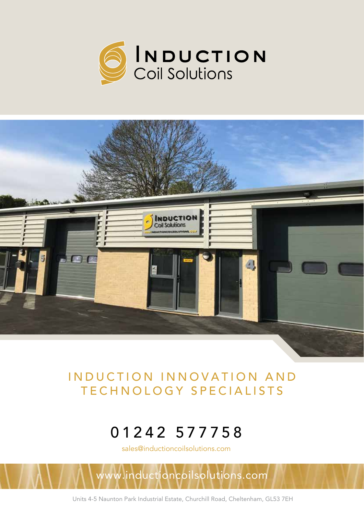



# INDUCTION INNOVATION AND TECHNOLOGY SPECIALISTS

# 01242 577758

sales@inductioncoilsolutions.com

inductioncoilsolutions.com

Units 4-5 Naunton Park Industrial Estate, Churchill Road, Cheltenham, GL53 7EH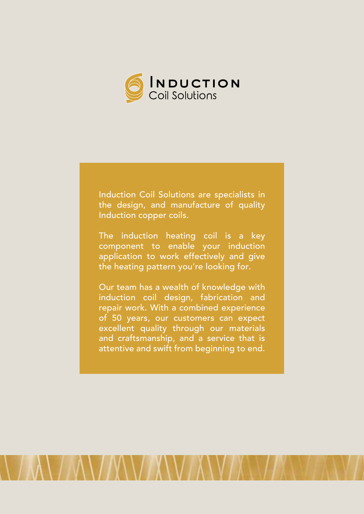

Induction Coil Solutions are specialists in the design, and manufacture of quality Induction copper coils.

The induction heating coil is a key component to enable your induction application to work effectively and give the heating pattern you're looking for.

Our team has a wealth of knowledge with induction coil design, fabrication and repair work. With a combined experience of 50 years, our customers can expect excellent quality through our materials and craftsmanship, and a service that is attentive and swift from beginning to end.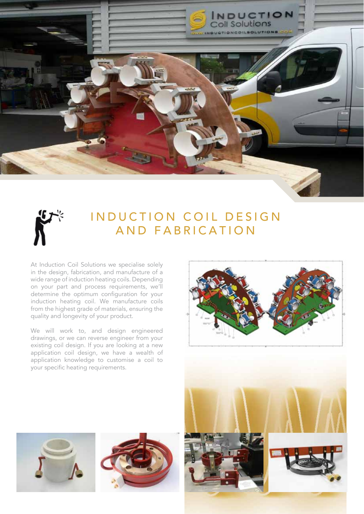



# INDUCTION COIL DESIGN AND FABRICATION

At Induction Coil Solutions we specialise solely in the design, fabrication, and manufacture of a wide range of induction heating coils. Depending on your part and process requirements, we'll determine the optimum configuration for your induction heating coil. We manufacture coils from the highest grade of materials, ensuring the quality and longevity of your product.

We will work to, and design engineered drawings, or we can reverse engineer from your existing coil design. If you are looking at a new application coil design, we have a wealth of application knowledge to customise a coil to your specific heating requirements.







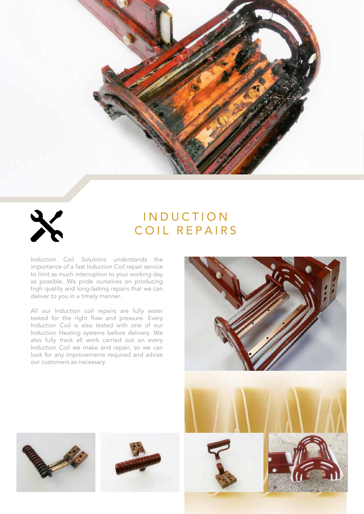



# **INDUCTION** COIL REPAIRS

Induction Coil Solutions understands the importance of a fast Induction Coil repair service to limit as much interruption to your working day as possible. We pride ourselves on producing high quality and long-lasting repairs that we can deliver to you in a timely manner.

All our Induction coil repairs are fully water tested for the right flow and pressure. Every Induction Coil is also tested with one of our Induction Heating systems before delivery. We also fully track all work carried out on every Induction Coil we make and repair, so we can look for any improvements required and advise our customers as necessary.





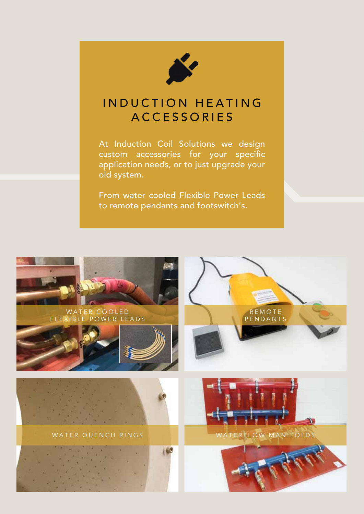

# INDUCTION HEATING **ACCESSORIES**

At Induction Coil Solutions we design custom accessories for your specific application needs, or to just upgrade your old system.

From water cooled Flexible Power Leads to remote pendants and footswitch's.

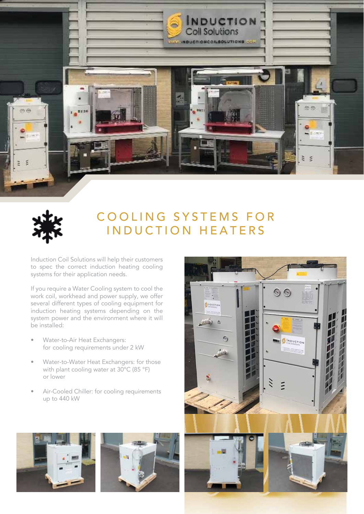



# COOLING SYSTEMS FOR INDUCTION HEATERS

Induction Coil Solutions will help their customers to spec the correct induction heating cooling systems for their application needs.

If you require a Water Cooling system to cool the work coil, workhead and power supply, we offer several different types of cooling equipment for induction heating systems depending on the system power and the environment where it will be installed:

- Water-to-Air Heat Exchangers: for cooling requirements under 2 kW
- Water-to-Water Heat Exchangers: for those with plant cooling water at 30°C (85 °F) or lower
- Air-Cooled Chiller: for cooling requirements up to 440 kW



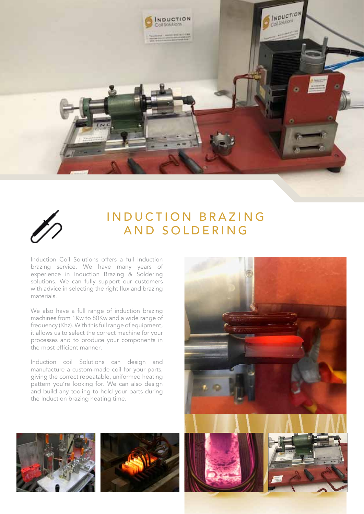



#### INDUCTION BRAZING AND SOLDERING

Induction Coil Solutions offers a full Induction brazing service. We have many years of experience in Induction Brazing & Soldering solutions. We can fully support our customers with advice in selecting the right flux and brazing materials.

We also have a full range of induction brazing machines from 1Kw to 80Kw and a wide range of frequency (Khz). With this full range of equipment, it allows us to select the correct machine for your processes and to produce your components in the most efficient manner.

Induction coil Solutions can design and manufacture a custom-made coil for your parts, giving the correct repeatable, uniformed heating pattern you're looking for. We can also design and build any tooling to hold your parts during the Induction brazing heating time.